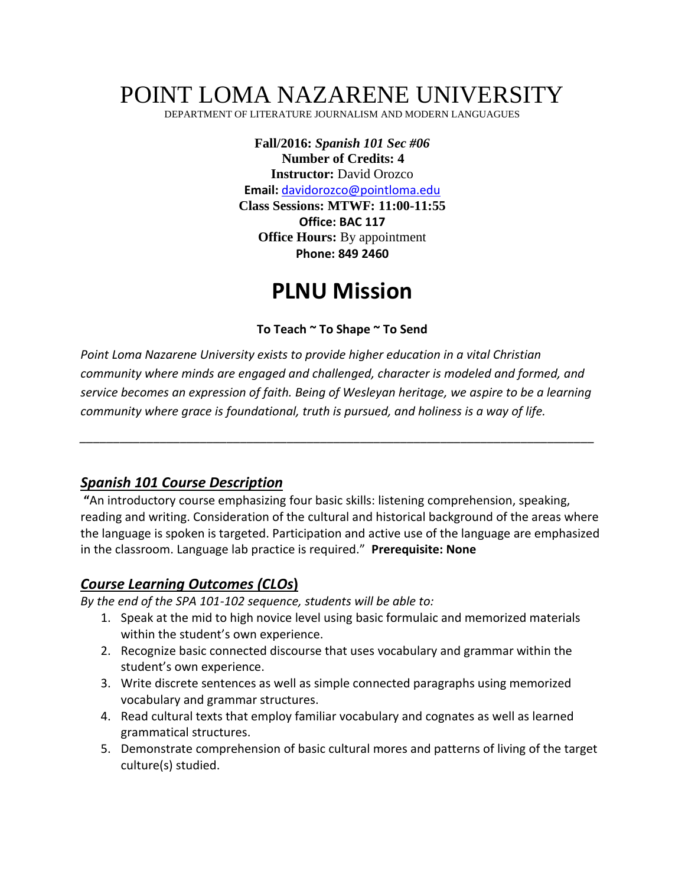# POINT LOMA NAZARENE UNIVERSITY

DEPARTMENT OF LITERATURE JOURNALISM AND MODERN LANGUAGUES

**Fall/2016:** *Spanish 101 Sec #06*  **Number of Credits: 4 Instructor:** David Orozco **Email:** [davidorozco@pointloma.edu](mailto:davidorozco@pointloma.edu)  **Class Sessions: MTWF: 11:00-11:55 Office: BAC 117 Office Hours:** By appointment **Phone: 849 2460**

# **PLNU Mission**

**To Teach ~ To Shape ~ To Send**

*Point Loma Nazarene University exists to provide higher education in a vital Christian community where minds are engaged and challenged, character is modeled and formed, and service becomes an expression of faith. Being of Wesleyan heritage, we aspire to be a learning community where grace is foundational, truth is pursued, and holiness is a way of life.*

*\_\_\_\_\_\_\_\_\_\_\_\_\_\_\_\_\_\_\_\_\_\_\_\_\_\_\_\_\_\_\_\_\_\_\_\_\_\_\_\_\_\_\_\_\_\_\_\_\_\_\_\_\_\_\_\_\_\_\_\_\_\_\_\_\_\_\_\_\_\_\_\_\_\_\_\_\_*

#### *Spanish 101 Course Description*

**"**An introductory course emphasizing four basic skills: listening comprehension, speaking, reading and writing. Consideration of the cultural and historical background of the areas where the language is spoken is targeted. Participation and active use of the language are emphasized in the classroom. Language lab practice is required." **Prerequisite: None**

# *Course Learning Outcomes (CLOs***)**

*By the end of the SPA 101-102 sequence, students will be able to:*

- 1. Speak at the mid to high novice level using basic formulaic and memorized materials within the student's own experience.
- 2. Recognize basic connected discourse that uses vocabulary and grammar within the student's own experience.
- 3. Write discrete sentences as well as simple connected paragraphs using memorized vocabulary and grammar structures.
- 4. Read cultural texts that employ familiar vocabulary and cognates as well as learned grammatical structures.
- 5. Demonstrate comprehension of basic cultural mores and patterns of living of the target culture(s) studied.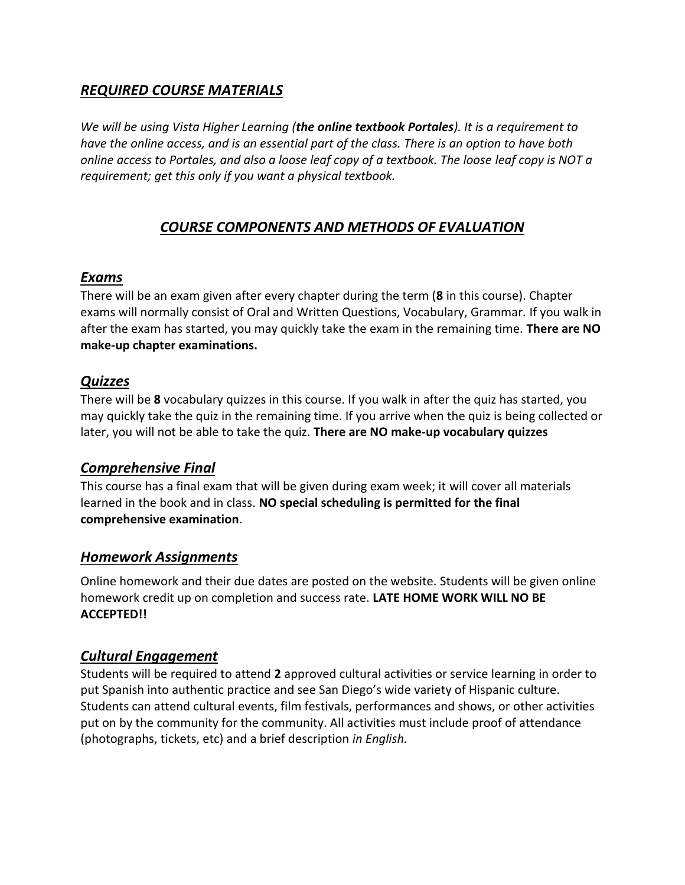# *REQUIRED COURSE MATERIALS*

*We will be using Vista Higher Learning (the online textbook Portales). It is a requirement to have the online access, and is an essential part of the class. There is an option to have both online access to Portales, and also a loose leaf copy of a textbook. The loose leaf copy is NOT a requirement; get this only if you want a physical textbook.* 

# *COURSE COMPONENTS AND METHODS OF EVALUATION*

#### *Exams*

There will be an exam given after every chapter during the term (**8** in this course). Chapter exams will normally consist of Oral and Written Questions, Vocabulary, Grammar. If you walk in after the exam has started, you may quickly take the exam in the remaining time. **There are NO make-up chapter examinations.** 

# *Quizzes*

There will be **8** vocabulary quizzes in this course. If you walk in after the quiz has started, you may quickly take the quiz in the remaining time. If you arrive when the quiz is being collected or later, you will not be able to take the quiz. **There are NO make-up vocabulary quizzes**

# *Comprehensive Final*

This course has a final exam that will be given during exam week; it will cover all materials learned in the book and in class. **NO special scheduling is permitted for the final comprehensive examination**.

# *Homework Assignments*

Online homework and their due dates are posted on the website. Students will be given online homework credit up on completion and success rate. **LATE HOME WORK WILL NO BE ACCEPTED!!**

# *Cultural Engagement*

Students will be required to attend **2** approved cultural activities or service learning in order to put Spanish into authentic practice and see San Diego's wide variety of Hispanic culture. Students can attend cultural events, film festivals, performances and shows, or other activities put on by the community for the community. All activities must include proof of attendance (photographs, tickets, etc) and a brief description *in English.*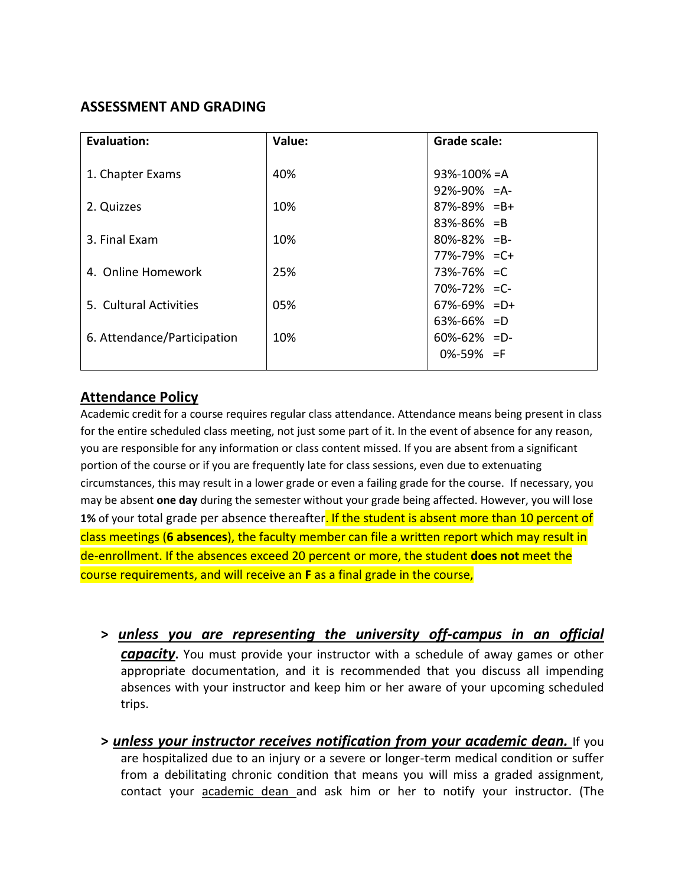# **ASSESSMENT AND GRADING**

| Evaluation:                 | Value: | <b>Grade scale:</b> |
|-----------------------------|--------|---------------------|
|                             |        |                     |
| 1. Chapter Exams            | 40%    | $93\% - 100\% = A$  |
|                             |        | $92\% - 90\% = A$   |
| 2. Quizzes                  | 10%    | $87\% - 89\% = B +$ |
|                             |        | $83\% - 86\% = B$   |
| 3. Final Exam               | 10%    | $80\% - 82\% = B -$ |
|                             |        | $77\% - 79\% = C +$ |
| 4. Online Homework          | 25%    | 73%-76% = C         |
|                             |        | $70\% - 72\% = C$   |
| 5. Cultural Activities      | 05%    | $67\% - 69\% = D +$ |
|                             |        | $63\% - 66\% = D$   |
| 6. Attendance/Participation | 10%    | $60\% - 62\% = D$   |
|                             |        | $0\% - 59\% = F$    |
|                             |        |                     |

#### **Attendance Policy**

Academic credit for a course requires regular class attendance. Attendance means being present in class for the entire scheduled class meeting, not just some part of it. In the event of absence for any reason, you are responsible for any information or class content missed. If you are absent from a significant portion of the course or if you are frequently late for class sessions, even due to extenuating circumstances, this may result in a lower grade or even a failing grade for the course. If necessary, you may be absent **one day** during the semester without your grade being affected. However, you will lose **1%** of your total grade per absence thereafter. If the student is absent more than 10 percent of class meetings (**6 absences**), the faculty member can file a written report which may result in de-enrollment. If the absences exceed 20 percent or more, the student **does not** meet the course requirements, and will receive an **F** as a final grade in the course,

- **>** *unless you are representing the university off-campus in an official capacity***.** You must provide your instructor with a schedule of away games or other appropriate documentation, and it is recommended that you discuss all impending absences with your instructor and keep him or her aware of your upcoming scheduled trips.
- **>** *unless your instructor receives notification from your academic dean.* If you are hospitalized due to an injury or a severe or longer-term medical condition or suffer from a debilitating chronic condition that means you will miss a graded assignment, contact your academic dean and ask him or her to notify your instructor. (The